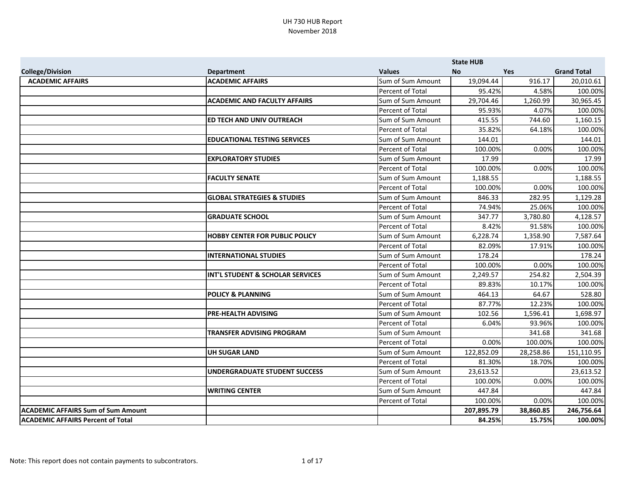|                                           |                                        |                         | <b>State HUB</b> |            |                    |
|-------------------------------------------|----------------------------------------|-------------------------|------------------|------------|--------------------|
| <b>College/Division</b>                   | <b>Department</b>                      | <b>Values</b>           | <b>No</b>        | <b>Yes</b> | <b>Grand Total</b> |
| <b>ACADEMIC AFFAIRS</b>                   | <b>ACADEMIC AFFAIRS</b>                | Sum of Sum Amount       | 19,094.44        | 916.17     | 20,010.61          |
|                                           |                                        | Percent of Total        | 95.42%           | 4.58%      | 100.00%            |
|                                           | <b>ACADEMIC AND FACULTY AFFAIRS</b>    | Sum of Sum Amount       | 29,704.46        | 1,260.99   | 30,965.45          |
|                                           |                                        | Percent of Total        | 95.93%           | 4.07%      | 100.00%            |
|                                           | ED TECH AND UNIV OUTREACH              | Sum of Sum Amount       | 415.55           | 744.60     | 1,160.15           |
|                                           |                                        | Percent of Total        | 35.82%           | 64.18%     | 100.00%            |
|                                           | <b>EDUCATIONAL TESTING SERVICES</b>    | Sum of Sum Amount       | 144.01           |            | 144.01             |
|                                           |                                        | Percent of Total        | 100.00%          | 0.00%      | 100.00%            |
|                                           | <b>EXPLORATORY STUDIES</b>             | Sum of Sum Amount       | 17.99            |            | 17.99              |
|                                           |                                        | Percent of Total        | 100.00%          | 0.00%      | 100.00%            |
|                                           | <b>FACULTY SENATE</b>                  | Sum of Sum Amount       | 1,188.55         |            | 1,188.55           |
|                                           |                                        | Percent of Total        | 100.00%          | 0.00%      | 100.00%            |
|                                           | <b>GLOBAL STRATEGIES &amp; STUDIES</b> | Sum of Sum Amount       | 846.33           | 282.95     | 1,129.28           |
|                                           |                                        | Percent of Total        | 74.94%           | 25.06%     | 100.00%            |
|                                           | <b>GRADUATE SCHOOL</b>                 | Sum of Sum Amount       | 347.77           | 3,780.80   | 4,128.57           |
|                                           |                                        | Percent of Total        | 8.42%            | 91.58%     | 100.00%            |
|                                           | <b>HOBBY CENTER FOR PUBLIC POLICY</b>  | Sum of Sum Amount       | 6,228.74         | 1,358.90   | 7,587.64           |
|                                           |                                        | Percent of Total        | 82.09%           | 17.91%     | 100.00%            |
|                                           | <b>INTERNATIONAL STUDIES</b>           | Sum of Sum Amount       | 178.24           |            | 178.24             |
|                                           |                                        | Percent of Total        | 100.00%          | 0.00%      | 100.00%            |
|                                           | INT'L STUDENT & SCHOLAR SERVICES       | Sum of Sum Amount       | 2,249.57         | 254.82     | 2,504.39           |
|                                           |                                        | Percent of Total        | 89.83%           | 10.17%     | 100.00%            |
|                                           | <b>POLICY &amp; PLANNING</b>           | Sum of Sum Amount       | 464.13           | 64.67      | 528.80             |
|                                           |                                        | Percent of Total        | 87.77%           | 12.23%     | 100.00%            |
|                                           | PRE-HEALTH ADVISING                    | Sum of Sum Amount       | 102.56           | 1,596.41   | 1,698.97           |
|                                           |                                        | <b>Percent of Total</b> | 6.04%            | 93.96%     | 100.00%            |
|                                           | <b>TRANSFER ADVISING PROGRAM</b>       | Sum of Sum Amount       |                  | 341.68     | 341.68             |
|                                           |                                        | Percent of Total        | 0.00%            | 100.00%    | 100.00%            |
|                                           | <b>UH SUGAR LAND</b>                   | Sum of Sum Amount       | 122,852.09       | 28,258.86  | 151,110.95         |
|                                           |                                        | Percent of Total        | 81.30%           | 18.70%     | 100.00%            |
|                                           | <b>UNDERGRADUATE STUDENT SUCCESS</b>   | Sum of Sum Amount       | 23,613.52        |            | 23,613.52          |
|                                           |                                        | Percent of Total        | 100.00%          | 0.00%      | 100.00%            |
|                                           | <b>WRITING CENTER</b>                  | Sum of Sum Amount       | 447.84           |            | 447.84             |
|                                           |                                        | Percent of Total        | 100.00%          | 0.00%      | 100.00%            |
| <b>ACADEMIC AFFAIRS Sum of Sum Amount</b> |                                        |                         | 207,895.79       | 38,860.85  | 246,756.64         |
| <b>ACADEMIC AFFAIRS Percent of Total</b>  |                                        |                         | 84.25%           | 15.75%     | 100.00%            |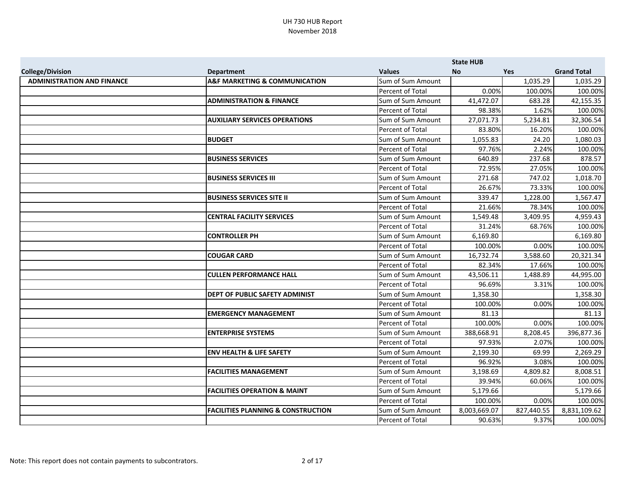|                                   |                                               |                   | <b>State HUB</b> |            |                    |
|-----------------------------------|-----------------------------------------------|-------------------|------------------|------------|--------------------|
| <b>College/Division</b>           | <b>Department</b>                             | <b>Values</b>     | <b>No</b>        | <b>Yes</b> | <b>Grand Total</b> |
| <b>ADMINISTRATION AND FINANCE</b> | <b>A&amp;F MARKETING &amp; COMMUNICATION</b>  | Sum of Sum Amount |                  | 1,035.29   | 1,035.29           |
|                                   |                                               | Percent of Total  | 0.00%            | 100.00%    | 100.00%            |
|                                   | <b>ADMINISTRATION &amp; FINANCE</b>           | Sum of Sum Amount | 41,472.07        | 683.28     | 42,155.35          |
|                                   |                                               | Percent of Total  | 98.38%           | 1.62%      | 100.00%            |
|                                   | <b>AUXILIARY SERVICES OPERATIONS</b>          | Sum of Sum Amount | 27,071.73        | 5,234.81   | 32,306.54          |
|                                   |                                               | Percent of Total  | 83.80%           | 16.20%     | 100.00%            |
|                                   | <b>BUDGET</b>                                 | Sum of Sum Amount | 1,055.83         | 24.20      | 1,080.03           |
|                                   |                                               | Percent of Total  | 97.76%           | 2.24%      | 100.00%            |
|                                   | <b>BUSINESS SERVICES</b>                      | Sum of Sum Amount | 640.89           | 237.68     | 878.57             |
|                                   |                                               | Percent of Total  | 72.95%           | 27.05%     | 100.00%            |
|                                   | <b>BUSINESS SERVICES III</b>                  | Sum of Sum Amount | 271.68           | 747.02     | 1,018.70           |
|                                   |                                               | Percent of Total  | 26.67%           | 73.33%     | 100.00%            |
|                                   | <b>BUSINESS SERVICES SITE II</b>              | Sum of Sum Amount | 339.47           | 1,228.00   | 1,567.47           |
|                                   |                                               | Percent of Total  | 21.66%           | 78.34%     | 100.00%            |
|                                   | <b>CENTRAL FACILITY SERVICES</b>              | Sum of Sum Amount | 1,549.48         | 3,409.95   | 4,959.43           |
|                                   |                                               | Percent of Total  | 31.24%           | 68.76%     | 100.00%            |
|                                   | <b>CONTROLLER PH</b>                          | Sum of Sum Amount | 6,169.80         |            | 6,169.80           |
|                                   |                                               | Percent of Total  | 100.00%          | 0.00%      | 100.00%            |
|                                   | <b>COUGAR CARD</b>                            | Sum of Sum Amount | 16,732.74        | 3,588.60   | 20,321.34          |
|                                   |                                               | Percent of Total  | 82.34%           | 17.66%     | 100.00%            |
|                                   | <b>CULLEN PERFORMANCE HALL</b>                | Sum of Sum Amount | 43,506.11        | 1,488.89   | 44,995.00          |
|                                   |                                               | Percent of Total  | 96.69%           | 3.31%      | 100.00%            |
|                                   | DEPT OF PUBLIC SAFETY ADMINIST                | Sum of Sum Amount | 1,358.30         |            | 1,358.30           |
|                                   |                                               | Percent of Total  | 100.00%          | 0.00%      | 100.00%            |
|                                   | <b>EMERGENCY MANAGEMENT</b>                   | Sum of Sum Amount | 81.13            |            | 81.13              |
|                                   |                                               | Percent of Total  | 100.00%          | 0.00%      | 100.00%            |
|                                   | <b>ENTERPRISE SYSTEMS</b>                     | Sum of Sum Amount | 388,668.91       | 8,208.45   | 396,877.36         |
|                                   |                                               | Percent of Total  | 97.93%           | 2.07%      | 100.00%            |
|                                   | <b>ENV HEALTH &amp; LIFE SAFETY</b>           | Sum of Sum Amount | 2,199.30         | 69.99      | 2,269.29           |
|                                   |                                               | Percent of Total  | 96.92%           | 3.08%      | 100.00%            |
|                                   | <b>FACILITIES MANAGEMENT</b>                  | Sum of Sum Amount | 3,198.69         | 4,809.82   | 8,008.51           |
|                                   |                                               | Percent of Total  | 39.94%           | 60.06%     | 100.00%            |
|                                   | <b>FACILITIES OPERATION &amp; MAINT</b>       | Sum of Sum Amount | 5,179.66         |            | 5,179.66           |
|                                   |                                               | Percent of Total  | 100.00%          | 0.00%      | 100.00%            |
|                                   | <b>FACILITIES PLANNING &amp; CONSTRUCTION</b> | Sum of Sum Amount | 8,003,669.07     | 827,440.55 | 8,831,109.62       |
|                                   |                                               | Percent of Total  | 90.63%           | 9.37%      | 100.00%            |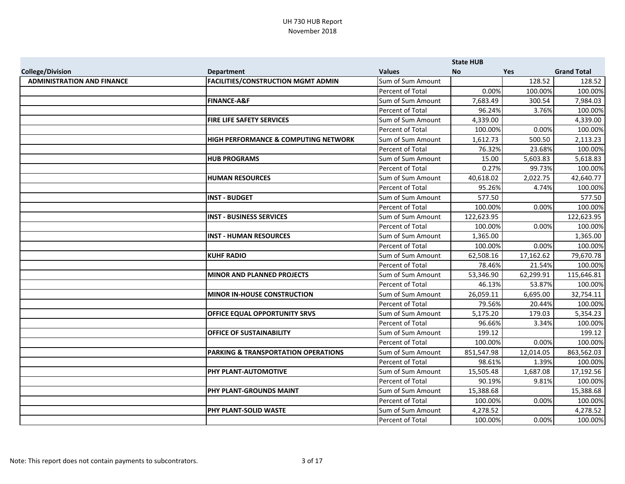|                                   |                                                 |                         | <b>State HUB</b> |           |                    |
|-----------------------------------|-------------------------------------------------|-------------------------|------------------|-----------|--------------------|
| <b>College/Division</b>           | <b>Department</b>                               | <b>Values</b>           | <b>No</b>        | Yes       | <b>Grand Total</b> |
| <b>ADMINISTRATION AND FINANCE</b> | <b>FACILITIES/CONSTRUCTION MGMT ADMIN</b>       | Sum of Sum Amount       |                  | 128.52    | 128.52             |
|                                   |                                                 | Percent of Total        | 0.00%            | 100.00%   | 100.00%            |
|                                   | <b>FINANCE-A&amp;F</b>                          | Sum of Sum Amount       | 7,683.49         | 300.54    | 7,984.03           |
|                                   |                                                 | Percent of Total        | 96.24%           | 3.76%     | 100.00%            |
|                                   | FIRE LIFE SAFETY SERVICES                       | Sum of Sum Amount       | 4,339.00         |           | 4,339.00           |
|                                   |                                                 | Percent of Total        | 100.00%          | 0.00%     | 100.00%            |
|                                   | <b>HIGH PERFORMANCE &amp; COMPUTING NETWORK</b> | Sum of Sum Amount       | 1,612.73         | 500.50    | 2,113.23           |
|                                   |                                                 | Percent of Total        | 76.32%           | 23.68%    | 100.00%            |
|                                   | <b>HUB PROGRAMS</b>                             | Sum of Sum Amount       | 15.00            | 5,603.83  | 5,618.83           |
|                                   |                                                 | Percent of Total        | 0.27%            | 99.73%    | 100.00%            |
|                                   | <b>HUMAN RESOURCES</b>                          | Sum of Sum Amount       | 40,618.02        | 2,022.75  | 42,640.77          |
|                                   |                                                 | Percent of Total        | 95.26%           | 4.74%     | 100.00%            |
|                                   | <b>INST - BUDGET</b>                            | Sum of Sum Amount       | 577.50           |           | 577.50             |
|                                   |                                                 | Percent of Total        | 100.00%          | 0.00%     | 100.00%            |
|                                   | <b>INST - BUSINESS SERVICES</b>                 | Sum of Sum Amount       | 122,623.95       |           | 122,623.95         |
|                                   |                                                 | Percent of Total        | 100.00%          | 0.00%     | 100.00%            |
|                                   | <b>INST - HUMAN RESOURCES</b>                   | Sum of Sum Amount       | 1,365.00         |           | 1,365.00           |
|                                   |                                                 | <b>Percent of Total</b> | 100.00%          | 0.00%     | 100.00%            |
|                                   | <b>KUHF RADIO</b>                               | Sum of Sum Amount       | 62,508.16        | 17,162.62 | 79,670.78          |
|                                   |                                                 | Percent of Total        | 78.46%           | 21.54%    | 100.00%            |
|                                   | <b>MINOR AND PLANNED PROJECTS</b>               | Sum of Sum Amount       | 53,346.90        | 62,299.91 | 115,646.81         |
|                                   |                                                 | Percent of Total        | 46.13%           | 53.87%    | 100.00%            |
|                                   | <b>MINOR IN-HOUSE CONSTRUCTION</b>              | Sum of Sum Amount       | 26,059.11        | 6,695.00  | 32,754.11          |
|                                   |                                                 | Percent of Total        | 79.56%           | 20.44%    | 100.00%            |
|                                   | <b>OFFICE EQUAL OPPORTUNITY SRVS</b>            | Sum of Sum Amount       | 5,175.20         | 179.03    | 5,354.23           |
|                                   |                                                 | Percent of Total        | 96.66%           | 3.34%     | 100.00%            |
|                                   | <b>OFFICE OF SUSTAINABILITY</b>                 | Sum of Sum Amount       | 199.12           |           | 199.12             |
|                                   |                                                 | Percent of Total        | 100.00%          | 0.00%     | 100.00%            |
|                                   | PARKING & TRANSPORTATION OPERATIONS             | Sum of Sum Amount       | 851,547.98       | 12,014.05 | 863,562.03         |
|                                   |                                                 | Percent of Total        | 98.61%           | 1.39%     | 100.00%            |
|                                   | PHY PLANT-AUTOMOTIVE                            | Sum of Sum Amount       | 15,505.48        | 1,687.08  | 17,192.56          |
|                                   |                                                 | Percent of Total        | 90.19%           | 9.81%     | 100.00%            |
|                                   | PHY PLANT-GROUNDS MAINT                         | Sum of Sum Amount       | 15,388.68        |           | 15,388.68          |
|                                   |                                                 | Percent of Total        | 100.00%          | 0.00%     | 100.00%            |
|                                   | PHY PLANT-SOLID WASTE                           | Sum of Sum Amount       | 4,278.52         |           | 4,278.52           |
|                                   |                                                 | Percent of Total        | 100.00%          | 0.00%     | 100.00%            |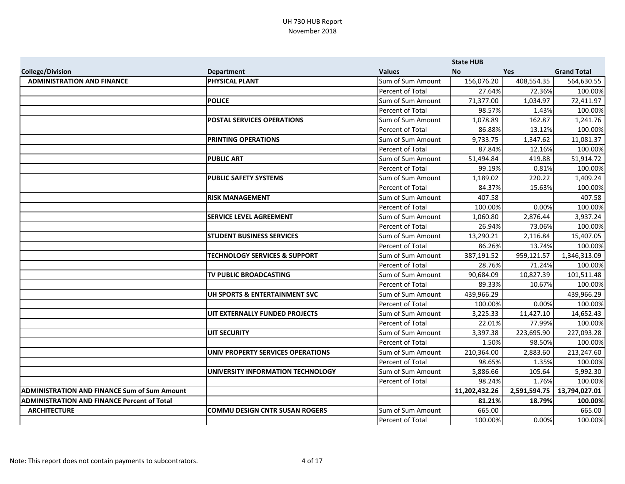|                                                     |                                          |                   | <b>State HUB</b> |              |                    |
|-----------------------------------------------------|------------------------------------------|-------------------|------------------|--------------|--------------------|
| <b>College/Division</b>                             | <b>Department</b>                        | <b>Values</b>     | <b>No</b>        | Yes          | <b>Grand Total</b> |
| <b>ADMINISTRATION AND FINANCE</b>                   | <b>PHYSICAL PLANT</b>                    | Sum of Sum Amount | 156,076.20       | 408,554.35   | 564,630.55         |
|                                                     |                                          | Percent of Total  | 27.64%           | 72.36%       | 100.00%            |
|                                                     | <b>POLICE</b>                            | Sum of Sum Amount | 71,377.00        | 1,034.97     | 72,411.97          |
|                                                     |                                          | Percent of Total  | 98.57%           | 1.43%        | 100.00%            |
|                                                     | <b>POSTAL SERVICES OPERATIONS</b>        | Sum of Sum Amount | 1,078.89         | 162.87       | 1,241.76           |
|                                                     |                                          | Percent of Total  | 86.88%           | 13.12%       | 100.00%            |
|                                                     | <b>PRINTING OPERATIONS</b>               | Sum of Sum Amount | 9,733.75         | 1,347.62     | 11,081.37          |
|                                                     |                                          | Percent of Total  | 87.84%           | 12.16%       | 100.00%            |
|                                                     | <b>PUBLIC ART</b>                        | Sum of Sum Amount | 51,494.84        | 419.88       | 51,914.72          |
|                                                     |                                          | Percent of Total  | 99.19%           | 0.81%        | 100.00%            |
|                                                     | <b>PUBLIC SAFETY SYSTEMS</b>             | Sum of Sum Amount | 1,189.02         | 220.22       | 1,409.24           |
|                                                     |                                          | Percent of Total  | 84.37%           | 15.63%       | 100.00%            |
|                                                     | <b>RISK MANAGEMENT</b>                   | Sum of Sum Amount | 407.58           |              | 407.58             |
|                                                     |                                          | Percent of Total  | 100.00%          | 0.00%        | 100.00%            |
|                                                     | <b>SERVICE LEVEL AGREEMENT</b>           | Sum of Sum Amount | 1,060.80         | 2,876.44     | 3,937.24           |
|                                                     |                                          | Percent of Total  | 26.94%           | 73.06%       | 100.00%            |
|                                                     | <b>STUDENT BUSINESS SERVICES</b>         | Sum of Sum Amount | 13,290.21        | 2,116.84     | 15,407.05          |
|                                                     |                                          | Percent of Total  | 86.26%           | 13.74%       | 100.00%            |
|                                                     | <b>TECHNOLOGY SERVICES &amp; SUPPORT</b> | Sum of Sum Amount | 387,191.52       | 959,121.57   | 1,346,313.09       |
|                                                     |                                          | Percent of Total  | 28.76%           | 71.24%       | 100.00%            |
|                                                     | <b>TV PUBLIC BROADCASTING</b>            | Sum of Sum Amount | 90,684.09        | 10,827.39    | 101,511.48         |
|                                                     |                                          | Percent of Total  | 89.33%           | 10.67%       | 100.00%            |
|                                                     | UH SPORTS & ENTERTAINMENT SVC            | Sum of Sum Amount | 439,966.29       |              | 439,966.29         |
|                                                     |                                          | Percent of Total  | 100.00%          | 0.00%        | 100.00%            |
|                                                     | UIT EXTERNALLY FUNDED PROJECTS           | Sum of Sum Amount | 3,225.33         | 11,427.10    | 14,652.43          |
|                                                     |                                          | Percent of Total  | 22.01%           | 77.99%       | 100.00%            |
|                                                     | <b>UIT SECURITY</b>                      | Sum of Sum Amount | 3,397.38         | 223,695.90   | 227,093.28         |
|                                                     |                                          | Percent of Total  | 1.50%            | 98.50%       | 100.00%            |
|                                                     | UNIV PROPERTY SERVICES OPERATIONS        | Sum of Sum Amount | 210,364.00       | 2,883.60     | 213,247.60         |
|                                                     |                                          | Percent of Total  | 98.65%           | 1.35%        | 100.00%            |
|                                                     | UNIVERSITY INFORMATION TECHNOLOGY        | Sum of Sum Amount | 5,886.66         | 105.64       | 5,992.30           |
|                                                     |                                          | Percent of Total  | 98.24%           | 1.76%        | 100.00%            |
| <b>ADMINISTRATION AND FINANCE Sum of Sum Amount</b> |                                          |                   | 11,202,432.26    | 2,591,594.75 | 13,794,027.01      |
| <b>ADMINISTRATION AND FINANCE Percent of Total</b>  |                                          |                   | 81.21%           | 18.79%       | 100.00%            |
| <b>ARCHITECTURE</b>                                 | <b>COMMU DESIGN CNTR SUSAN ROGERS</b>    | Sum of Sum Amount | 665.00           |              | 665.00             |
|                                                     |                                          | Percent of Total  | 100.00%          | 0.00%        | 100.00%            |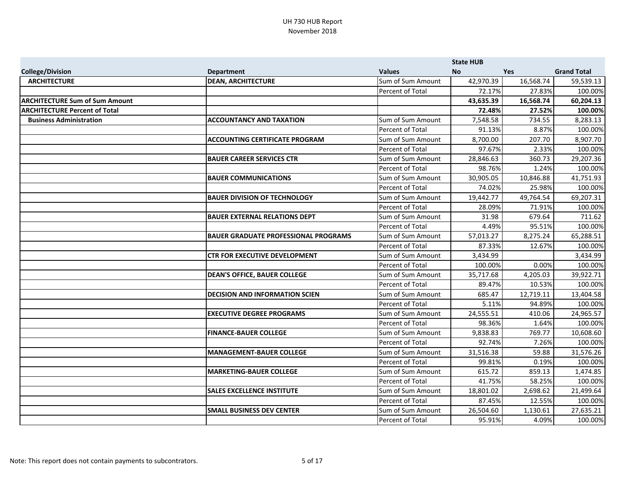|                                       |                                             |                   | <b>State HUB</b> |           |                    |
|---------------------------------------|---------------------------------------------|-------------------|------------------|-----------|--------------------|
| <b>College/Division</b>               | <b>Department</b>                           | <b>Values</b>     | <b>No</b>        | Yes       | <b>Grand Total</b> |
| <b>ARCHITECTURE</b>                   | <b>DEAN, ARCHITECTURE</b>                   | Sum of Sum Amount | 42,970.39        | 16,568.74 | 59,539.13          |
|                                       |                                             | Percent of Total  | 72.17%           | 27.83%    | 100.00%            |
| <b>ARCHITECTURE Sum of Sum Amount</b> |                                             |                   | 43,635.39        | 16,568.74 | 60,204.13          |
| <b>ARCHITECTURE Percent of Total</b>  |                                             |                   | 72.48%           | 27.52%    | 100.00%            |
| <b>Business Administration</b>        | <b>ACCOUNTANCY AND TAXATION</b>             | Sum of Sum Amount | 7,548.58         | 734.55    | 8,283.13           |
|                                       |                                             | Percent of Total  | 91.13%           | 8.87%     | 100.00%            |
|                                       | <b>ACCOUNTING CERTIFICATE PROGRAM</b>       | Sum of Sum Amount | 8,700.00         | 207.70    | 8,907.70           |
|                                       |                                             | Percent of Total  | 97.67%           | 2.33%     | 100.00%            |
|                                       | <b>BAUER CAREER SERVICES CTR</b>            | Sum of Sum Amount | 28,846.63        | 360.73    | 29,207.36          |
|                                       |                                             | Percent of Total  | 98.76%           | 1.24%     | 100.00%            |
|                                       | <b>BAUER COMMUNICATIONS</b>                 | Sum of Sum Amount | 30,905.05        | 10,846.88 | 41,751.93          |
|                                       |                                             | Percent of Total  | 74.02%           | 25.98%    | 100.00%            |
|                                       | <b>BAUER DIVISION OF TECHNOLOGY</b>         | Sum of Sum Amount | 19,442.77        | 49,764.54 | 69,207.31          |
|                                       |                                             | Percent of Total  | 28.09%           | 71.91%    | 100.00%            |
|                                       | <b>BAUER EXTERNAL RELATIONS DEPT</b>        | Sum of Sum Amount | 31.98            | 679.64    | 711.62             |
|                                       |                                             | Percent of Total  | 4.49%            | 95.51%    | 100.00%            |
|                                       | <b>BAUER GRADUATE PROFESSIONAL PROGRAMS</b> | Sum of Sum Amount | 57,013.27        | 8,275.24  | 65,288.51          |
|                                       |                                             | Percent of Total  | 87.33%           | 12.67%    | 100.00%            |
|                                       | <b>CTR FOR EXECUTIVE DEVELOPMENT</b>        | Sum of Sum Amount | 3,434.99         |           | 3,434.99           |
|                                       |                                             | Percent of Total  | 100.00%          | 0.00%     | 100.00%            |
|                                       | <b>DEAN'S OFFICE, BAUER COLLEGE</b>         | Sum of Sum Amount | 35,717.68        | 4,205.03  | 39,922.71          |
|                                       |                                             | Percent of Total  | 89.47%           | 10.53%    | 100.00%            |
|                                       | <b>DECISION AND INFORMATION SCIEN</b>       | Sum of Sum Amount | 685.47           | 12,719.11 | 13,404.58          |
|                                       |                                             | Percent of Total  | 5.11%            | 94.89%    | 100.00%            |
|                                       | <b>EXECUTIVE DEGREE PROGRAMS</b>            | Sum of Sum Amount | 24,555.51        | 410.06    | 24,965.57          |
|                                       |                                             | Percent of Total  | 98.36%           | 1.64%     | 100.00%            |
|                                       | <b>FINANCE-BAUER COLLEGE</b>                | Sum of Sum Amount | 9,838.83         | 769.77    | 10,608.60          |
|                                       |                                             | Percent of Total  | 92.74%           | 7.26%     | 100.00%            |
|                                       | <b>MANAGEMENT-BAUER COLLEGE</b>             | Sum of Sum Amount | 31,516.38        | 59.88     | 31,576.26          |
|                                       |                                             | Percent of Total  | 99.81%           | 0.19%     | 100.00%            |
|                                       | <b>MARKETING-BAUER COLLEGE</b>              | Sum of Sum Amount | 615.72           | 859.13    | 1,474.85           |
|                                       |                                             | Percent of Total  | 41.75%           | 58.25%    | 100.00%            |
|                                       | <b>SALES EXCELLENCE INSTITUTE</b>           | Sum of Sum Amount | 18,801.02        | 2,698.62  | 21,499.64          |
|                                       |                                             | Percent of Total  | 87.45%           | 12.55%    | 100.00%            |
|                                       | <b>SMALL BUSINESS DEV CENTER</b>            | Sum of Sum Amount | 26,504.60        | 1,130.61  | 27,635.21          |
|                                       |                                             | Percent of Total  | 95.91%           | 4.09%     | 100.00%            |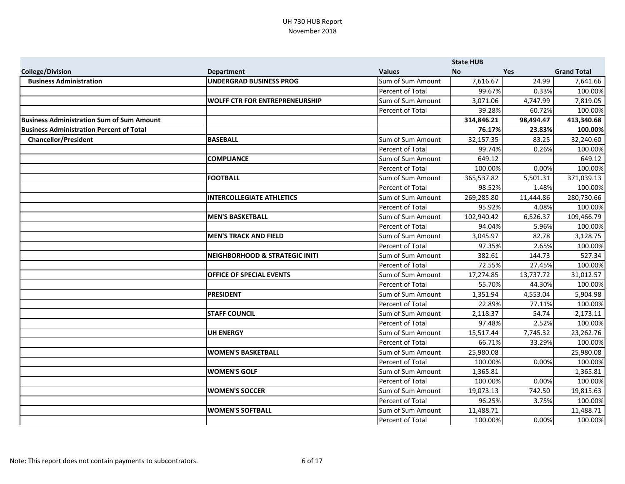|                                                  |                                           |                         | <b>State HUB</b> |           |                    |
|--------------------------------------------------|-------------------------------------------|-------------------------|------------------|-----------|--------------------|
| <b>College/Division</b>                          | <b>Department</b>                         | <b>Values</b>           | <b>No</b>        | Yes       | <b>Grand Total</b> |
| <b>Business Administration</b>                   | <b>UNDERGRAD BUSINESS PROG</b>            | Sum of Sum Amount       | 7,616.67         | 24.99     | 7,641.66           |
|                                                  |                                           | Percent of Total        | 99.67%           | 0.33%     | 100.00%            |
|                                                  | <b>WOLFF CTR FOR ENTREPRENEURSHIP</b>     | Sum of Sum Amount       | 3,071.06         | 4,747.99  | 7,819.05           |
|                                                  |                                           | Percent of Total        | 39.28%           | 60.72%    | 100.00%            |
| <b>Business Administration Sum of Sum Amount</b> |                                           |                         | 314,846.21       | 98,494.47 | 413,340.68         |
| Business Administration Percent of Total         |                                           |                         | 76.17%           | 23.83%    | 100.00%            |
| <b>Chancellor/President</b>                      | <b>BASEBALL</b>                           | Sum of Sum Amount       | 32,157.35        | 83.25     | 32,240.60          |
|                                                  |                                           | Percent of Total        | 99.74%           | 0.26%     | 100.00%            |
|                                                  | <b>COMPLIANCE</b>                         | Sum of Sum Amount       | 649.12           |           | 649.12             |
|                                                  |                                           | Percent of Total        | 100.00%          | 0.00%     | 100.00%            |
|                                                  | <b>FOOTBALL</b>                           | Sum of Sum Amount       | 365,537.82       | 5,501.31  | 371,039.13         |
|                                                  |                                           | Percent of Total        | 98.52%           | 1.48%     | 100.00%            |
|                                                  | <b>INTERCOLLEGIATE ATHLETICS</b>          | Sum of Sum Amount       | 269,285.80       | 11,444.86 | 280,730.66         |
|                                                  |                                           | Percent of Total        | 95.92%           | 4.08%     | 100.00%            |
|                                                  | <b>MEN'S BASKETBALL</b>                   | Sum of Sum Amount       | 102,940.42       | 6,526.37  | 109,466.79         |
|                                                  |                                           | Percent of Total        | 94.04%           | 5.96%     | 100.00%            |
|                                                  | <b>MEN'S TRACK AND FIELD</b>              | Sum of Sum Amount       | 3,045.97         | 82.78     | 3,128.75           |
|                                                  |                                           | Percent of Total        | 97.35%           | 2.65%     | 100.00%            |
|                                                  | <b>NEIGHBORHOOD &amp; STRATEGIC INITI</b> | Sum of Sum Amount       | 382.61           | 144.73    | 527.34             |
|                                                  |                                           | Percent of Total        | 72.55%           | 27.45%    | 100.00%            |
|                                                  | <b>OFFICE OF SPECIAL EVENTS</b>           | Sum of Sum Amount       | 17,274.85        | 13,737.72 | 31,012.57          |
|                                                  |                                           | Percent of Total        | 55.70%           | 44.30%    | 100.00%            |
|                                                  | <b>PRESIDENT</b>                          | Sum of Sum Amount       | 1,351.94         | 4,553.04  | 5,904.98           |
|                                                  |                                           | Percent of Total        | 22.89%           | 77.11%    | 100.00%            |
|                                                  | <b>STAFF COUNCIL</b>                      | Sum of Sum Amount       | 2,118.37         | 54.74     | 2,173.11           |
|                                                  |                                           | Percent of Total        | 97.48%           | 2.52%     | 100.00%            |
|                                                  | <b>UH ENERGY</b>                          | Sum of Sum Amount       | 15,517.44        | 7,745.32  | 23,262.76          |
|                                                  |                                           | Percent of Total        | 66.71%           | 33.29%    | 100.00%            |
|                                                  | <b>WOMEN'S BASKETBALL</b>                 | Sum of Sum Amount       | 25,980.08        |           | 25,980.08          |
|                                                  |                                           | <b>Percent of Total</b> | 100.00%          | 0.00%     | 100.00%            |
|                                                  | <b>WOMEN'S GOLF</b>                       | Sum of Sum Amount       | 1,365.81         |           | 1,365.81           |
|                                                  |                                           | Percent of Total        | 100.00%          | 0.00%     | 100.00%            |
|                                                  | <b>WOMEN'S SOCCER</b>                     | Sum of Sum Amount       | 19,073.13        | 742.50    | 19,815.63          |
|                                                  |                                           | Percent of Total        | 96.25%           | 3.75%     | 100.00%            |
|                                                  | <b>WOMEN'S SOFTBALL</b>                   | Sum of Sum Amount       | 11,488.71        |           | 11,488.71          |
|                                                  |                                           | Percent of Total        | 100.00%          | 0.00%     | 100.00%            |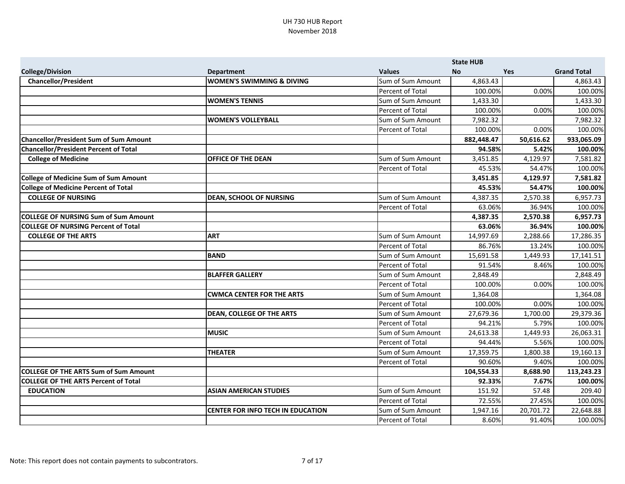|                                               |                                      |                         | <b>State HUB</b> |            |                    |
|-----------------------------------------------|--------------------------------------|-------------------------|------------------|------------|--------------------|
| <b>College/Division</b>                       | <b>Department</b>                    | <b>Values</b>           | <b>No</b>        | <b>Yes</b> | <b>Grand Total</b> |
| <b>Chancellor/President</b>                   | <b>WOMEN'S SWIMMING &amp; DIVING</b> | Sum of Sum Amount       | 4,863.43         |            | 4,863.43           |
|                                               |                                      | <b>Percent of Total</b> | 100.00%          | 0.00%      | 100.00%            |
|                                               | <b>WOMEN'S TENNIS</b>                | Sum of Sum Amount       | 1,433.30         |            | 1,433.30           |
|                                               |                                      | Percent of Total        | 100.00%          | 0.00%      | 100.00%            |
|                                               | <b>WOMEN'S VOLLEYBALL</b>            | Sum of Sum Amount       | 7,982.32         |            | 7,982.32           |
|                                               |                                      | Percent of Total        | 100.00%          | 0.00%      | 100.00%            |
| <b>Chancellor/President Sum of Sum Amount</b> |                                      |                         | 882,448.47       | 50,616.62  | 933,065.09         |
| <b>Chancellor/President Percent of Total</b>  |                                      |                         | 94.58%           | 5.42%      | 100.00%            |
| <b>College of Medicine</b>                    | <b>OFFICE OF THE DEAN</b>            | Sum of Sum Amount       | 3,451.85         | 4,129.97   | 7,581.82           |
|                                               |                                      | Percent of Total        | 45.53%           | 54.47%     | 100.00%            |
| <b>College of Medicine Sum of Sum Amount</b>  |                                      |                         | 3,451.85         | 4,129.97   | 7,581.82           |
| <b>College of Medicine Percent of Total</b>   |                                      |                         | 45.53%           | 54.47%     | 100.00%            |
| <b>COLLEGE OF NURSING</b>                     | <b>DEAN, SCHOOL OF NURSING</b>       | Sum of Sum Amount       | 4,387.35         | 2,570.38   | 6,957.73           |
|                                               |                                      | Percent of Total        | 63.06%           | 36.94%     | 100.00%            |
| <b>COLLEGE OF NURSING Sum of Sum Amount</b>   |                                      |                         | 4,387.35         | 2,570.38   | 6,957.73           |
| <b>COLLEGE OF NURSING Percent of Total</b>    |                                      |                         | 63.06%           | 36.94%     | 100.00%            |
| <b>COLLEGE OF THE ARTS</b>                    | <b>ART</b>                           | Sum of Sum Amount       | 14,997.69        | 2,288.66   | 17,286.35          |
|                                               |                                      | Percent of Total        | 86.76%           | 13.24%     | 100.00%            |
|                                               | <b>BAND</b>                          | Sum of Sum Amount       | 15,691.58        | 1,449.93   | 17,141.51          |
|                                               |                                      | Percent of Total        | 91.54%           | 8.46%      | 100.00%            |
|                                               | <b>BLAFFER GALLERY</b>               | Sum of Sum Amount       | 2,848.49         |            | 2,848.49           |
|                                               |                                      | <b>Percent of Total</b> | 100.00%          | 0.00%      | 100.00%            |
|                                               | <b>CWMCA CENTER FOR THE ARTS</b>     | Sum of Sum Amount       | 1,364.08         |            | 1,364.08           |
|                                               |                                      | Percent of Total        | 100.00%          | 0.00%      | 100.00%            |
|                                               | <b>DEAN, COLLEGE OF THE ARTS</b>     | Sum of Sum Amount       | 27,679.36        | 1,700.00   | 29,379.36          |
|                                               |                                      | <b>Percent of Total</b> | 94.21%           | 5.79%      | 100.00%            |
|                                               | <b>MUSIC</b>                         | Sum of Sum Amount       | 24,613.38        | 1,449.93   | 26,063.31          |
|                                               |                                      | Percent of Total        | 94.44%           | 5.56%      | 100.00%            |
|                                               | <b>THEATER</b>                       | Sum of Sum Amount       | 17,359.75        | 1,800.38   | 19,160.13          |
|                                               |                                      | Percent of Total        | 90.60%           | 9.40%      | 100.00%            |
| <b>COLLEGE OF THE ARTS Sum of Sum Amount</b>  |                                      |                         | 104,554.33       | 8,688.90   | 113,243.23         |
| <b>COLLEGE OF THE ARTS Percent of Total</b>   |                                      |                         | 92.33%           | 7.67%      | 100.00%            |
| <b>EDUCATION</b>                              | <b>ASIAN AMERICAN STUDIES</b>        | Sum of Sum Amount       | 151.92           | 57.48      | 209.40             |
|                                               |                                      | Percent of Total        | 72.55%           | 27.45%     | 100.00%            |
|                                               | CENTER FOR INFO TECH IN EDUCATION    | Sum of Sum Amount       | 1,947.16         | 20,701.72  | 22,648.88          |
|                                               |                                      | Percent of Total        | 8.60%            | 91.40%     | 100.00%            |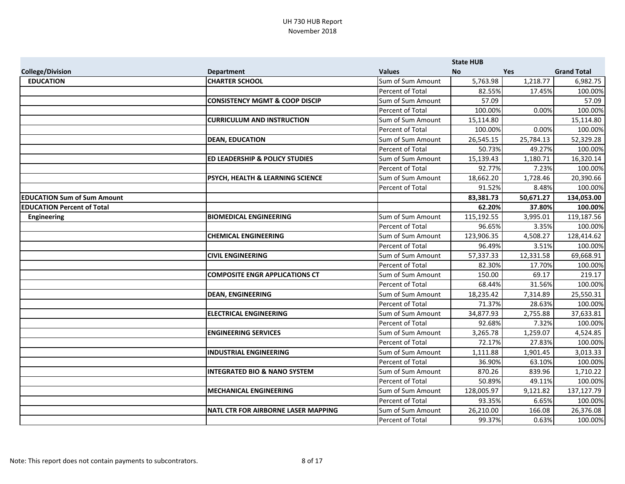|                                    |                                            |                         | <b>State HUB</b> |            |                    |
|------------------------------------|--------------------------------------------|-------------------------|------------------|------------|--------------------|
| <b>College/Division</b>            | <b>Department</b>                          | <b>Values</b>           | <b>No</b>        | <b>Yes</b> | <b>Grand Total</b> |
| <b>EDUCATION</b>                   | <b>CHARTER SCHOOL</b>                      | Sum of Sum Amount       | 5,763.98         | 1,218.77   | 6,982.75           |
|                                    |                                            | Percent of Total        | 82.55%           | 17.45%     | 100.00%            |
|                                    | <b>CONSISTENCY MGMT &amp; COOP DISCIP</b>  | Sum of Sum Amount       | 57.09            |            | 57.09              |
|                                    |                                            | Percent of Total        | 100.00%          | 0.00%      | 100.00%            |
|                                    | <b>CURRICULUM AND INSTRUCTION</b>          | Sum of Sum Amount       | 15,114.80        |            | 15,114.80          |
|                                    |                                            | Percent of Total        | 100.00%          | 0.00%      | 100.00%            |
|                                    | <b>DEAN, EDUCATION</b>                     | Sum of Sum Amount       | 26,545.15        | 25,784.13  | 52,329.28          |
|                                    |                                            | Percent of Total        | 50.73%           | 49.27%     | 100.00%            |
|                                    | <b>ED LEADERSHIP &amp; POLICY STUDIES</b>  | Sum of Sum Amount       | 15,139.43        | 1,180.71   | 16,320.14          |
|                                    |                                            | Percent of Total        | 92.77%           | 7.23%      | 100.00%            |
|                                    | PSYCH, HEALTH & LEARNING SCIENCE           | Sum of Sum Amount       | 18,662.20        | 1,728.46   | 20,390.66          |
|                                    |                                            | Percent of Total        | 91.52%           | 8.48%      | 100.00%            |
| <b>EDUCATION Sum of Sum Amount</b> |                                            |                         | 83,381.73        | 50,671.27  | 134,053.00         |
| <b>EDUCATION Percent of Total</b>  |                                            |                         | 62.20%           | 37.80%     | 100.00%            |
| <b>Engineering</b>                 | <b>BIOMEDICAL ENGINEERING</b>              | Sum of Sum Amount       | 115,192.55       | 3,995.01   | 119,187.56         |
|                                    |                                            | Percent of Total        | 96.65%           | 3.35%      | 100.00%            |
|                                    | <b>CHEMICAL ENGINEERING</b>                | Sum of Sum Amount       | 123,906.35       | 4,508.27   | 128,414.62         |
|                                    |                                            | Percent of Total        | 96.49%           | 3.51%      | 100.00%            |
|                                    | <b>CIVIL ENGINEERING</b>                   | Sum of Sum Amount       | 57,337.33        | 12,331.58  | 69,668.91          |
|                                    |                                            | Percent of Total        | 82.30%           | 17.70%     | 100.00%            |
|                                    | <b>COMPOSITE ENGR APPLICATIONS CT</b>      | Sum of Sum Amount       | 150.00           | 69.17      | 219.17             |
|                                    |                                            | Percent of Total        | 68.44%           | 31.56%     | 100.00%            |
|                                    | <b>DEAN, ENGINEERING</b>                   | Sum of Sum Amount       | 18,235.42        | 7,314.89   | 25,550.31          |
|                                    |                                            | Percent of Total        | 71.37%           | 28.63%     | 100.00%            |
|                                    | <b>ELECTRICAL ENGINEERING</b>              | Sum of Sum Amount       | 34,877.93        | 2,755.88   | 37,633.81          |
|                                    |                                            | Percent of Total        | 92.68%           | 7.32%      | 100.00%            |
|                                    | <b>ENGINEERING SERVICES</b>                | Sum of Sum Amount       | 3,265.78         | 1,259.07   | 4,524.85           |
|                                    |                                            | <b>Percent of Total</b> | 72.17%           | 27.83%     | 100.00%            |
|                                    | <b>INDUSTRIAL ENGINEERING</b>              | Sum of Sum Amount       | 1,111.88         | 1,901.45   | 3,013.33           |
|                                    |                                            | Percent of Total        | 36.90%           | 63.10%     | 100.00%            |
|                                    | <b>INTEGRATED BIO &amp; NANO SYSTEM</b>    | Sum of Sum Amount       | 870.26           | 839.96     | 1,710.22           |
|                                    |                                            | Percent of Total        | 50.89%           | 49.11%     | 100.00%            |
|                                    | <b>MECHANICAL ENGINEERING</b>              | Sum of Sum Amount       | 128,005.97       | 9,121.82   | 137,127.79         |
|                                    |                                            | Percent of Total        | 93.35%           | 6.65%      | 100.00%            |
|                                    | <b>NATL CTR FOR AIRBORNE LASER MAPPING</b> | Sum of Sum Amount       | 26,210.00        | 166.08     | 26,376.08          |
|                                    |                                            | Percent of Total        | 99.37%           | 0.63%      | 100.00%            |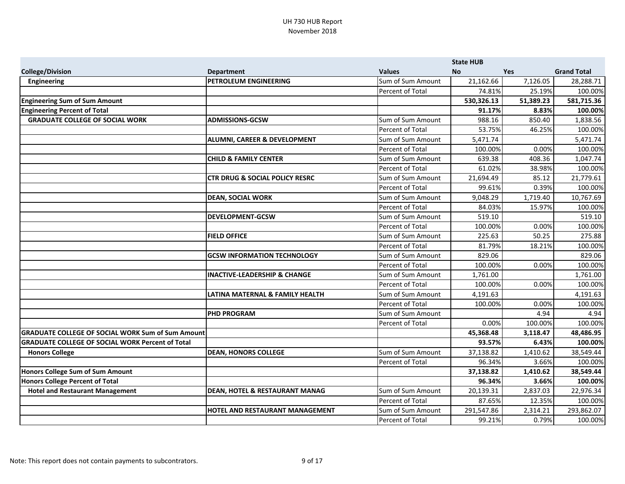|                                                          |                                           |                         | <b>State HUB</b> |           |                    |
|----------------------------------------------------------|-------------------------------------------|-------------------------|------------------|-----------|--------------------|
| <b>College/Division</b>                                  | <b>Department</b>                         | <b>Values</b>           | <b>No</b>        | Yes       | <b>Grand Total</b> |
| <b>Engineering</b>                                       | PETROLEUM ENGINEERING                     | Sum of Sum Amount       | 21,162.66        | 7,126.05  | 28,288.71          |
|                                                          |                                           | Percent of Total        | 74.81%           | 25.19%    | 100.00%            |
| <b>Engineering Sum of Sum Amount</b>                     |                                           |                         | 530,326.13       | 51,389.23 | 581,715.36         |
| <b>Engineering Percent of Total</b>                      |                                           |                         | 91.17%           | 8.83%     | 100.00%            |
| <b>GRADUATE COLLEGE OF SOCIAL WORK</b>                   | <b>ADMISSIONS-GCSW</b>                    | Sum of Sum Amount       | 988.16           | 850.40    | 1,838.56           |
|                                                          |                                           | Percent of Total        | 53.75%           | 46.25%    | 100.00%            |
|                                                          | <b>ALUMNI, CAREER &amp; DEVELOPMENT</b>   | Sum of Sum Amount       | 5,471.74         |           | 5,471.74           |
|                                                          |                                           | Percent of Total        | 100.00%          | 0.00%     | 100.00%            |
|                                                          | <b>CHILD &amp; FAMILY CENTER</b>          | Sum of Sum Amount       | 639.38           | 408.36    | 1,047.74           |
|                                                          |                                           | Percent of Total        | 61.02%           | 38.98%    | 100.00%            |
|                                                          | <b>CTR DRUG &amp; SOCIAL POLICY RESRC</b> | Sum of Sum Amount       | 21,694.49        | 85.12     | 21,779.61          |
|                                                          |                                           | Percent of Total        | 99.61%           | 0.39%     | 100.00%            |
|                                                          | <b>DEAN, SOCIAL WORK</b>                  | Sum of Sum Amount       | 9,048.29         | 1,719.40  | 10,767.69          |
|                                                          |                                           | Percent of Total        | 84.03%           | 15.97%    | 100.00%            |
|                                                          | <b>DEVELOPMENT-GCSW</b>                   | Sum of Sum Amount       | 519.10           |           | 519.10             |
|                                                          |                                           | Percent of Total        | 100.00%          | 0.00%     | 100.00%            |
|                                                          | <b>FIELD OFFICE</b>                       | Sum of Sum Amount       | 225.63           | 50.25     | 275.88             |
|                                                          |                                           | Percent of Total        | 81.79%           | 18.21%    | 100.00%            |
|                                                          | <b>GCSW INFORMATION TECHNOLOGY</b>        | Sum of Sum Amount       | 829.06           |           | 829.06             |
|                                                          |                                           | Percent of Total        | 100.00%          | 0.00%     | 100.00%            |
|                                                          | <b>INACTIVE-LEADERSHIP &amp; CHANGE</b>   | Sum of Sum Amount       | 1,761.00         |           | 1,761.00           |
|                                                          |                                           | Percent of Total        | 100.00%          | 0.00%     | 100.00%            |
|                                                          | LATINA MATERNAL & FAMILY HEALTH           | Sum of Sum Amount       | 4,191.63         |           | 4,191.63           |
|                                                          |                                           | Percent of Total        | 100.00%          | 0.00%     | 100.00%            |
|                                                          | <b>PHD PROGRAM</b>                        | Sum of Sum Amount       |                  | 4.94      | 4.94               |
|                                                          |                                           | Percent of Total        | 0.00%            | 100.00%   | 100.00%            |
| <b>GRADUATE COLLEGE OF SOCIAL WORK Sum of Sum Amount</b> |                                           |                         | 45,368.48        | 3,118.47  | 48,486.95          |
| <b>GRADUATE COLLEGE OF SOCIAL WORK Percent of Total</b>  |                                           |                         | 93.57%           | 6.43%     | 100.00%            |
| <b>Honors College</b>                                    | <b>DEAN, HONORS COLLEGE</b>               | Sum of Sum Amount       | 37,138.82        | 1,410.62  | 38,549.44          |
|                                                          |                                           | <b>Percent of Total</b> | 96.34%           | 3.66%     | 100.00%            |
| Honors College Sum of Sum Amount                         |                                           |                         | 37,138.82        | 1,410.62  | 38,549.44          |
| Honors College Percent of Total                          |                                           |                         | 96.34%           | 3.66%     | 100.00%            |
| <b>Hotel and Restaurant Management</b>                   | <b>DEAN, HOTEL &amp; RESTAURANT MANAG</b> | Sum of Sum Amount       | 20,139.31        | 2,837.03  | 22,976.34          |
|                                                          |                                           | Percent of Total        | 87.65%           | 12.35%    | 100.00%            |
|                                                          | <b>HOTEL AND RESTAURANT MANAGEMENT</b>    | Sum of Sum Amount       | 291,547.86       | 2,314.21  | 293,862.07         |
|                                                          |                                           | Percent of Total        | 99.21%           | 0.79%     | 100.00%            |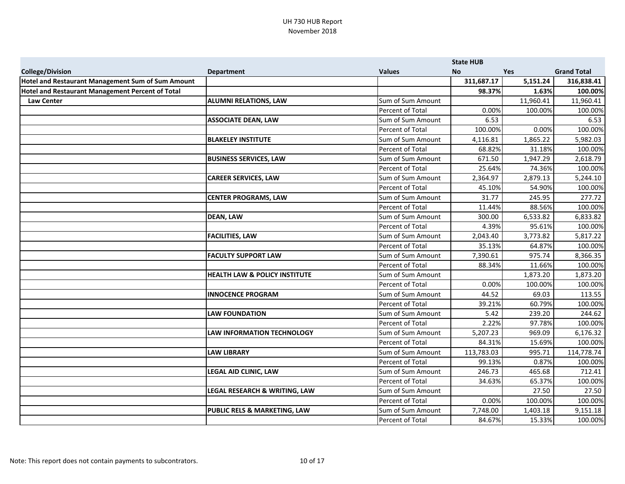|                                                          |                                          |                   | <b>State HUB</b> |            |                    |
|----------------------------------------------------------|------------------------------------------|-------------------|------------------|------------|--------------------|
| <b>College/Division</b>                                  | <b>Department</b>                        | <b>Values</b>     | <b>No</b>        | <b>Yes</b> | <b>Grand Total</b> |
| <b>Hotel and Restaurant Management Sum of Sum Amount</b> |                                          |                   | 311,687.17       | 5,151.24   | 316,838.41         |
| <b>Hotel and Restaurant Management Percent of Total</b>  |                                          |                   | 98.37%           | 1.63%      | 100.00%            |
| <b>Law Center</b>                                        | <b>ALUMNI RELATIONS, LAW</b>             | Sum of Sum Amount |                  | 11,960.41  | 11,960.41          |
|                                                          |                                          | Percent of Total  | 0.00%            | 100.00%    | 100.00%            |
|                                                          | <b>ASSOCIATE DEAN, LAW</b>               | Sum of Sum Amount | 6.53             |            | 6.53               |
|                                                          |                                          | Percent of Total  | 100.00%          | 0.00%      | 100.00%            |
|                                                          | <b>BLAKELEY INSTITUTE</b>                | Sum of Sum Amount | 4,116.81         | 1,865.22   | 5,982.03           |
|                                                          |                                          | Percent of Total  | 68.82%           | 31.18%     | 100.00%            |
|                                                          | <b>BUSINESS SERVICES, LAW</b>            | Sum of Sum Amount | 671.50           | 1,947.29   | 2,618.79           |
|                                                          |                                          | Percent of Total  | 25.64%           | 74.36%     | 100.00%            |
|                                                          | <b>CAREER SERVICES, LAW</b>              | Sum of Sum Amount | 2,364.97         | 2,879.13   | 5,244.10           |
|                                                          |                                          | Percent of Total  | 45.10%           | 54.90%     | 100.00%            |
|                                                          | <b>CENTER PROGRAMS, LAW</b>              | Sum of Sum Amount | 31.77            | 245.95     | 277.72             |
|                                                          |                                          | Percent of Total  | 11.44%           | 88.56%     | 100.00%            |
|                                                          | <b>DEAN, LAW</b>                         | Sum of Sum Amount | 300.00           | 6,533.82   | 6,833.82           |
|                                                          |                                          | Percent of Total  | 4.39%            | 95.61%     | 100.00%            |
|                                                          | <b>FACILITIES, LAW</b>                   | Sum of Sum Amount | 2,043.40         | 3,773.82   | 5,817.22           |
|                                                          |                                          | Percent of Total  | 35.13%           | 64.87%     | 100.00%            |
|                                                          | <b>FACULTY SUPPORT LAW</b>               | Sum of Sum Amount | 7,390.61         | 975.74     | 8,366.35           |
|                                                          |                                          | Percent of Total  | 88.34%           | 11.66%     | 100.00%            |
|                                                          | <b>HEALTH LAW &amp; POLICY INSTITUTE</b> | Sum of Sum Amount |                  | 1,873.20   | 1,873.20           |
|                                                          |                                          | Percent of Total  | 0.00%            | 100.00%    | 100.00%            |
|                                                          | <b>INNOCENCE PROGRAM</b>                 | Sum of Sum Amount | 44.52            | 69.03      | 113.55             |
|                                                          |                                          | Percent of Total  | 39.21%           | 60.79%     | 100.00%            |
|                                                          | <b>LAW FOUNDATION</b>                    | Sum of Sum Amount | 5.42             | 239.20     | 244.62             |
|                                                          |                                          | Percent of Total  | 2.22%            | 97.78%     | 100.00%            |
|                                                          | <b>LAW INFORMATION TECHNOLOGY</b>        | Sum of Sum Amount | 5,207.23         | 969.09     | 6,176.32           |
|                                                          |                                          | Percent of Total  | 84.31%           | 15.69%     | 100.00%            |
|                                                          | <b>LAW LIBRARY</b>                       | Sum of Sum Amount | 113,783.03       | 995.71     | 114,778.74         |
|                                                          |                                          | Percent of Total  | 99.13%           | 0.87%      | 100.00%            |
|                                                          | <b>LEGAL AID CLINIC, LAW</b>             | Sum of Sum Amount | 246.73           | 465.68     | 712.41             |
|                                                          |                                          | Percent of Total  | 34.63%           | 65.37%     | 100.00%            |
|                                                          | LEGAL RESEARCH & WRITING, LAW            | Sum of Sum Amount |                  | 27.50      | 27.50              |
|                                                          |                                          | Percent of Total  | 0.00%            | 100.00%    | 100.00%            |
|                                                          | <b>PUBLIC RELS &amp; MARKETING, LAW</b>  | Sum of Sum Amount | 7,748.00         | 1,403.18   | 9,151.18           |
|                                                          |                                          | Percent of Total  | 84.67%           | 15.33%     | 100.00%            |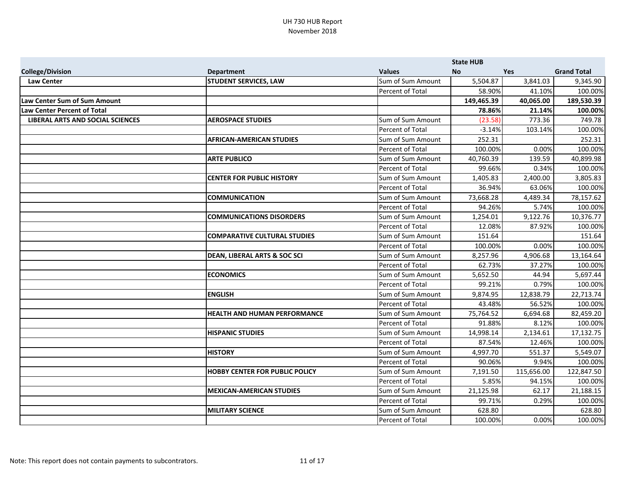|                                         |                                         |                   | <b>State HUB</b> |            |                    |
|-----------------------------------------|-----------------------------------------|-------------------|------------------|------------|--------------------|
| <b>College/Division</b>                 | <b>Department</b>                       | <b>Values</b>     | <b>No</b>        | Yes        | <b>Grand Total</b> |
| <b>Law Center</b>                       | <b>STUDENT SERVICES, LAW</b>            | Sum of Sum Amount | 5,504.87         | 3,841.03   | 9,345.90           |
|                                         |                                         | Percent of Total  | 58.90%           | 41.10%     | 100.00%            |
| Law Center Sum of Sum Amount            |                                         |                   | 149,465.39       | 40,065.00  | 189,530.39         |
| Law Center Percent of Total             |                                         |                   | 78.86%           | 21.14%     | 100.00%            |
| <b>LIBERAL ARTS AND SOCIAL SCIENCES</b> | <b>AEROSPACE STUDIES</b>                | Sum of Sum Amount | (23.58)          | 773.36     | 749.78             |
|                                         |                                         | Percent of Total  | $-3.14%$         | 103.14%    | 100.00%            |
|                                         | <b>AFRICAN-AMERICAN STUDIES</b>         | Sum of Sum Amount | 252.31           |            | 252.31             |
|                                         |                                         | Percent of Total  | 100.00%          | 0.00%      | 100.00%            |
|                                         | <b>ARTE PUBLICO</b>                     | Sum of Sum Amount | 40,760.39        | 139.59     | 40,899.98          |
|                                         |                                         | Percent of Total  | 99.66%           | 0.34%      | 100.00%            |
|                                         | <b>CENTER FOR PUBLIC HISTORY</b>        | Sum of Sum Amount | 1,405.83         | 2,400.00   | 3,805.83           |
|                                         |                                         | Percent of Total  | 36.94%           | 63.06%     | 100.00%            |
|                                         | <b>COMMUNICATION</b>                    | Sum of Sum Amount | 73,668.28        | 4,489.34   | 78,157.62          |
|                                         |                                         | Percent of Total  | 94.26%           | 5.74%      | 100.00%            |
|                                         | <b>COMMUNICATIONS DISORDERS</b>         | Sum of Sum Amount | 1,254.01         | 9,122.76   | 10,376.77          |
|                                         |                                         | Percent of Total  | 12.08%           | 87.92%     | 100.00%            |
|                                         | <b>COMPARATIVE CULTURAL STUDIES</b>     | Sum of Sum Amount | 151.64           |            | 151.64             |
|                                         |                                         | Percent of Total  | 100.00%          | 0.00%      | 100.00%            |
|                                         | <b>DEAN, LIBERAL ARTS &amp; SOC SCI</b> | Sum of Sum Amount | 8,257.96         | 4,906.68   | 13,164.64          |
|                                         |                                         | Percent of Total  | 62.73%           | 37.27%     | 100.00%            |
|                                         | <b>ECONOMICS</b>                        | Sum of Sum Amount | 5,652.50         | 44.94      | 5,697.44           |
|                                         |                                         | Percent of Total  | 99.21%           | 0.79%      | 100.00%            |
|                                         | <b>ENGLISH</b>                          | Sum of Sum Amount | 9,874.95         | 12,838.79  | 22,713.74          |
|                                         |                                         | Percent of Total  | 43.48%           | 56.52%     | 100.00%            |
|                                         | <b>HEALTH AND HUMAN PERFORMANCE</b>     | Sum of Sum Amount | 75,764.52        | 6,694.68   | 82,459.20          |
|                                         |                                         | Percent of Total  | 91.88%           | 8.12%      | 100.00%            |
|                                         | <b>HISPANIC STUDIES</b>                 | Sum of Sum Amount | 14,998.14        | 2,134.61   | 17,132.75          |
|                                         |                                         | Percent of Total  | 87.54%           | 12.46%     | 100.00%            |
|                                         | <b>HISTORY</b>                          | Sum of Sum Amount | 4,997.70         | 551.37     | 5,549.07           |
|                                         |                                         | Percent of Total  | 90.06%           | 9.94%      | 100.00%            |
|                                         | <b>HOBBY CENTER FOR PUBLIC POLICY</b>   | Sum of Sum Amount | 7,191.50         | 115,656.00 | 122,847.50         |
|                                         |                                         | Percent of Total  | 5.85%            | 94.15%     | 100.00%            |
|                                         | <b>MEXICAN-AMERICAN STUDIES</b>         | Sum of Sum Amount | 21,125.98        | 62.17      | 21,188.15          |
|                                         |                                         | Percent of Total  | 99.71%           | 0.29%      | 100.00%            |
|                                         | <b>MILITARY SCIENCE</b>                 | Sum of Sum Amount | 628.80           |            | 628.80             |
|                                         |                                         | Percent of Total  | 100.00%          | 0.00%      | 100.00%            |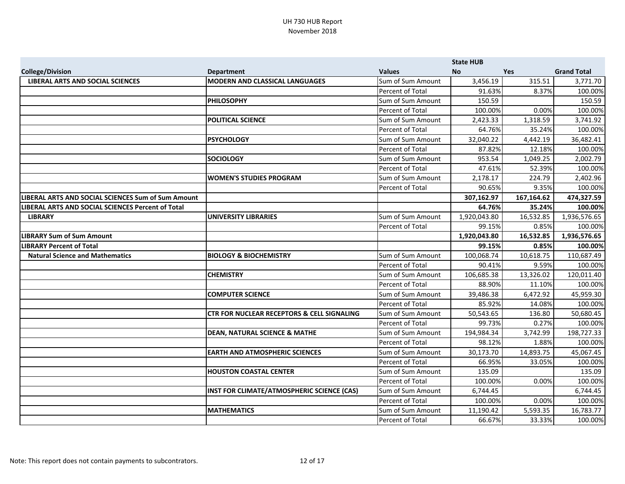|                                                    |                                                       |                   | <b>State HUB</b> |            |                    |
|----------------------------------------------------|-------------------------------------------------------|-------------------|------------------|------------|--------------------|
| <b>College/Division</b>                            | <b>Department</b>                                     | <b>Values</b>     | <b>No</b>        | <b>Yes</b> | <b>Grand Total</b> |
| <b>LIBERAL ARTS AND SOCIAL SCIENCES</b>            | <b>MODERN AND CLASSICAL LANGUAGES</b>                 | Sum of Sum Amount | 3,456.19         | 315.51     | 3,771.70           |
|                                                    |                                                       | Percent of Total  | 91.63%           | 8.37%      | 100.00%            |
|                                                    | <b>PHILOSOPHY</b>                                     | Sum of Sum Amount | 150.59           |            | 150.59             |
|                                                    |                                                       | Percent of Total  | 100.00%          | 0.00%      | 100.00%            |
|                                                    | <b>POLITICAL SCIENCE</b>                              | Sum of Sum Amount | 2,423.33         | 1,318.59   | 3,741.92           |
|                                                    |                                                       | Percent of Total  | 64.76%           | 35.24%     | 100.00%            |
|                                                    | <b>PSYCHOLOGY</b>                                     | Sum of Sum Amount | 32,040.22        | 4,442.19   | 36,482.41          |
|                                                    |                                                       | Percent of Total  | 87.82%           | 12.18%     | 100.00%            |
|                                                    | <b>SOCIOLOGY</b>                                      | Sum of Sum Amount | 953.54           | 1,049.25   | 2,002.79           |
|                                                    |                                                       | Percent of Total  | 47.61%           | 52.39%     | 100.00%            |
|                                                    | <b>WOMEN'S STUDIES PROGRAM</b>                        | Sum of Sum Amount | 2,178.17         | 224.79     | 2,402.96           |
|                                                    |                                                       | Percent of Total  | 90.65%           | 9.35%      | 100.00%            |
| LIBERAL ARTS AND SOCIAL SCIENCES Sum of Sum Amount |                                                       |                   | 307,162.97       | 167,164.62 | 474,327.59         |
| LIBERAL ARTS AND SOCIAL SCIENCES Percent of Total  |                                                       |                   | 64.76%           | 35.24%     | 100.00%            |
| <b>LIBRARY</b>                                     | <b>UNIVERSITY LIBRARIES</b>                           | Sum of Sum Amount | 1,920,043.80     | 16,532.85  | 1,936,576.65       |
|                                                    |                                                       | Percent of Total  | 99.15%           | 0.85%      | 100.00%            |
| <b>LIBRARY Sum of Sum Amount</b>                   |                                                       |                   | 1,920,043.80     | 16,532.85  | 1,936,576.65       |
| <b>LIBRARY Percent of Total</b>                    |                                                       |                   | 99.15%           | 0.85%      | 100.00%            |
| <b>Natural Science and Mathematics</b>             | <b>BIOLOGY &amp; BIOCHEMISTRY</b>                     | Sum of Sum Amount | 100,068.74       | 10,618.75  | 110,687.49         |
|                                                    |                                                       | Percent of Total  | 90.41%           | 9.59%      | 100.00%            |
|                                                    | <b>CHEMISTRY</b>                                      | Sum of Sum Amount | 106,685.38       | 13,326.02  | 120,011.40         |
|                                                    |                                                       | Percent of Total  | 88.90%           | 11.10%     | 100.00%            |
|                                                    | <b>COMPUTER SCIENCE</b>                               | Sum of Sum Amount | 39,486.38        | 6,472.92   | 45,959.30          |
|                                                    |                                                       | Percent of Total  | 85.92%           | 14.08%     | 100.00%            |
|                                                    | <b>CTR FOR NUCLEAR RECEPTORS &amp; CELL SIGNALING</b> | Sum of Sum Amount | 50,543.65        | 136.80     | 50,680.45          |
|                                                    |                                                       | Percent of Total  | 99.73%           | 0.27%      | 100.00%            |
|                                                    | <b>DEAN, NATURAL SCIENCE &amp; MATHE</b>              | Sum of Sum Amount | 194,984.34       | 3,742.99   | 198,727.33         |
|                                                    |                                                       | Percent of Total  | 98.12%           | 1.88%      | 100.00%            |
|                                                    | <b>EARTH AND ATMOSPHERIC SCIENCES</b>                 | Sum of Sum Amount | 30,173.70        | 14,893.75  | 45,067.45          |
|                                                    |                                                       | Percent of Total  | 66.95%           | 33.05%     | 100.00%            |
|                                                    | <b>HOUSTON COASTAL CENTER</b>                         | Sum of Sum Amount | 135.09           |            | 135.09             |
|                                                    |                                                       | Percent of Total  | 100.00%          | 0.00%      | 100.00%            |
|                                                    | INST FOR CLIMATE/ATMOSPHERIC SCIENCE (CAS)            | Sum of Sum Amount | 6,744.45         |            | 6,744.45           |
|                                                    |                                                       | Percent of Total  | 100.00%          | 0.00%      | 100.00%            |
|                                                    | <b>MATHEMATICS</b>                                    | Sum of Sum Amount | 11,190.42        | 5,593.35   | 16,783.77          |
|                                                    |                                                       | Percent of Total  | 66.67%           | 33.33%     | 100.00%            |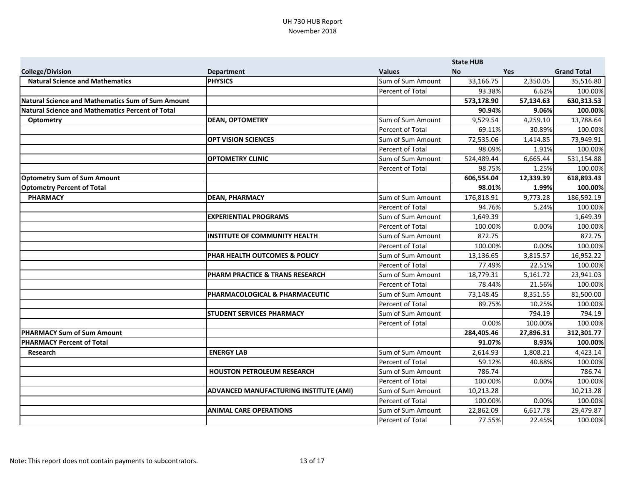|                                                   |                                        |                         | <b>State HUB</b> |           |                    |
|---------------------------------------------------|----------------------------------------|-------------------------|------------------|-----------|--------------------|
| <b>College/Division</b>                           | <b>Department</b>                      | <b>Values</b>           | <b>No</b>        | Yes       | <b>Grand Total</b> |
| <b>Natural Science and Mathematics</b>            | <b>PHYSICS</b>                         | Sum of Sum Amount       | 33,166.75        | 2,350.05  | 35,516.80          |
|                                                   |                                        | Percent of Total        | 93.38%           | 6.62%     | 100.00%            |
| Natural Science and Mathematics Sum of Sum Amount |                                        |                         | 573,178.90       | 57,134.63 | 630,313.53         |
| Natural Science and Mathematics Percent of Total  |                                        |                         | 90.94%           | 9.06%     | 100.00%            |
| <b>Optometry</b>                                  | <b>DEAN, OPTOMETRY</b>                 | Sum of Sum Amount       | 9,529.54         | 4,259.10  | 13,788.64          |
|                                                   |                                        | Percent of Total        | 69.11%           | 30.89%    | 100.00%            |
|                                                   | <b>OPT VISION SCIENCES</b>             | Sum of Sum Amount       | 72,535.06        | 1,414.85  | 73,949.91          |
|                                                   |                                        | Percent of Total        | 98.09%           | 1.91%     | 100.00%            |
|                                                   | <b>OPTOMETRY CLINIC</b>                | Sum of Sum Amount       | 524,489.44       | 6,665.44  | 531,154.88         |
|                                                   |                                        | Percent of Total        | 98.75%           | 1.25%     | 100.00%            |
| <b>Optometry Sum of Sum Amount</b>                |                                        |                         | 606,554.04       | 12,339.39 | 618,893.43         |
| <b>Optometry Percent of Total</b>                 |                                        |                         | 98.01%           | 1.99%     | 100.00%            |
| <b>PHARMACY</b>                                   | <b>DEAN, PHARMACY</b>                  | Sum of Sum Amount       | 176,818.91       | 9,773.28  | 186,592.19         |
|                                                   |                                        | Percent of Total        | 94.76%           | 5.24%     | 100.00%            |
|                                                   | <b>EXPERIENTIAL PROGRAMS</b>           | Sum of Sum Amount       | 1,649.39         |           | 1,649.39           |
|                                                   |                                        | <b>Percent of Total</b> | 100.00%          | 0.00%     | 100.00%            |
|                                                   | <b>INSTITUTE OF COMMUNITY HEALTH</b>   | Sum of Sum Amount       | 872.75           |           | 872.75             |
|                                                   |                                        | Percent of Total        | 100.00%          | 0.00%     | 100.00%            |
|                                                   | PHAR HEALTH OUTCOMES & POLICY          | Sum of Sum Amount       | 13,136.65        | 3,815.57  | 16,952.22          |
|                                                   |                                        | Percent of Total        | 77.49%           | 22.51%    | 100.00%            |
|                                                   | PHARM PRACTICE & TRANS RESEARCH        | Sum of Sum Amount       | 18,779.31        | 5,161.72  | 23,941.03          |
|                                                   |                                        | Percent of Total        | 78.44%           | 21.56%    | 100.00%            |
|                                                   | PHARMACOLOGICAL & PHARMACEUTIC         | Sum of Sum Amount       | 73,148.45        | 8,351.55  | 81,500.00          |
|                                                   |                                        | Percent of Total        | 89.75%           | 10.25%    | 100.00%            |
|                                                   | <b>STUDENT SERVICES PHARMACY</b>       | Sum of Sum Amount       |                  | 794.19    | 794.19             |
|                                                   |                                        | Percent of Total        | 0.00%            | 100.00%   | 100.00%            |
| <b>PHARMACY Sum of Sum Amount</b>                 |                                        |                         | 284,405.46       | 27,896.31 | 312,301.77         |
| <b>PHARMACY Percent of Total</b>                  |                                        |                         | 91.07%           | 8.93%     | 100.00%            |
| Research                                          | <b>ENERGY LAB</b>                      | Sum of Sum Amount       | 2,614.93         | 1,808.21  | 4,423.14           |
|                                                   |                                        | <b>Percent of Total</b> | 59.12%           | 40.88%    | 100.00%            |
|                                                   | <b>HOUSTON PETROLEUM RESEARCH</b>      | Sum of Sum Amount       | 786.74           |           | 786.74             |
|                                                   |                                        | Percent of Total        | 100.00%          | 0.00%     | 100.00%            |
|                                                   | ADVANCED MANUFACTURING INSTITUTE (AMI) | Sum of Sum Amount       | 10,213.28        |           | 10,213.28          |
|                                                   |                                        | Percent of Total        | 100.00%          | 0.00%     | 100.00%            |
|                                                   | <b>ANIMAL CARE OPERATIONS</b>          | Sum of Sum Amount       | 22,862.09        | 6,617.78  | 29,479.87          |
|                                                   |                                        | Percent of Total        | 77.55%           | 22.45%    | 100.00%            |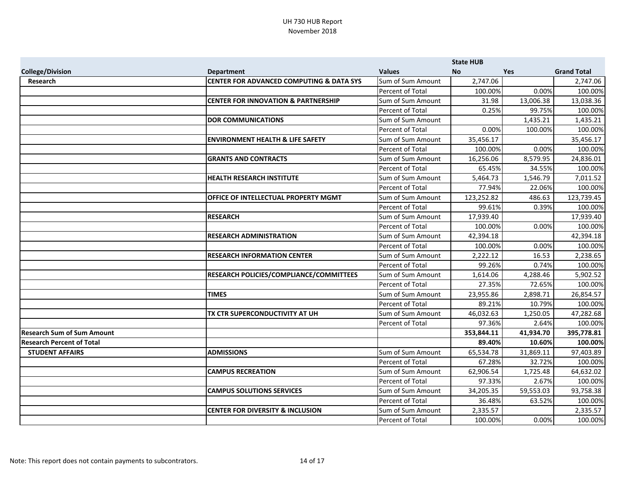|                                   |                                                     |                   | <b>State HUB</b> |           |                    |
|-----------------------------------|-----------------------------------------------------|-------------------|------------------|-----------|--------------------|
| <b>College/Division</b>           | <b>Department</b>                                   | <b>Values</b>     | <b>No</b>        | Yes       | <b>Grand Total</b> |
| <b>Research</b>                   | <b>CENTER FOR ADVANCED COMPUTING &amp; DATA SYS</b> | Sum of Sum Amount | 2,747.06         |           | 2,747.06           |
|                                   |                                                     | Percent of Total  | 100.00%          | 0.00%     | 100.00%            |
|                                   | <b>CENTER FOR INNOVATION &amp; PARTNERSHIP</b>      | Sum of Sum Amount | 31.98            | 13,006.38 | 13,038.36          |
|                                   |                                                     | Percent of Total  | 0.25%            | 99.75%    | 100.00%            |
|                                   | <b>DOR COMMUNICATIONS</b>                           | Sum of Sum Amount |                  | 1,435.21  | 1,435.21           |
|                                   |                                                     | Percent of Total  | 0.00%            | 100.00%   | 100.00%            |
|                                   | <b>ENVIRONMENT HEALTH &amp; LIFE SAFETY</b>         | Sum of Sum Amount | 35,456.17        |           | 35,456.17          |
|                                   |                                                     | Percent of Total  | 100.00%          | 0.00%     | 100.00%            |
|                                   | <b>GRANTS AND CONTRACTS</b>                         | Sum of Sum Amount | 16,256.06        | 8,579.95  | 24,836.01          |
|                                   |                                                     | Percent of Total  | 65.45%           | 34.55%    | 100.00%            |
|                                   | <b>HEALTH RESEARCH INSTITUTE</b>                    | Sum of Sum Amount | 5,464.73         | 1,546.79  | 7,011.52           |
|                                   |                                                     | Percent of Total  | 77.94%           | 22.06%    | 100.00%            |
|                                   | OFFICE OF INTELLECTUAL PROPERTY MGMT                | Sum of Sum Amount | 123,252.82       | 486.63    | 123,739.45         |
|                                   |                                                     | Percent of Total  | 99.61%           | 0.39%     | 100.00%            |
|                                   | <b>RESEARCH</b>                                     | Sum of Sum Amount | 17,939.40        |           | 17,939.40          |
|                                   |                                                     | Percent of Total  | 100.00%          | 0.00%     | 100.00%            |
|                                   | <b>RESEARCH ADMINISTRATION</b>                      | Sum of Sum Amount | 42,394.18        |           | 42,394.18          |
|                                   |                                                     | Percent of Total  | 100.00%          | 0.00%     | 100.00%            |
|                                   | <b>RESEARCH INFORMATION CENTER</b>                  | Sum of Sum Amount | 2,222.12         | 16.53     | 2,238.65           |
|                                   |                                                     | Percent of Total  | 99.26%           | 0.74%     | 100.00%            |
|                                   | RESEARCH POLICIES/COMPLIANCE/COMMITTEES             | Sum of Sum Amount | 1,614.06         | 4,288.46  | 5,902.52           |
|                                   |                                                     | Percent of Total  | 27.35%           | 72.65%    | 100.00%            |
|                                   | <b>TIMES</b>                                        | Sum of Sum Amount | 23,955.86        | 2,898.71  | 26,854.57          |
|                                   |                                                     | Percent of Total  | 89.21%           | 10.79%    | 100.00%            |
|                                   | TX CTR SUPERCONDUCTIVITY AT UH                      | Sum of Sum Amount | 46,032.63        | 1,250.05  | 47,282.68          |
|                                   |                                                     | Percent of Total  | 97.36%           | 2.64%     | 100.00%            |
| <b>Research Sum of Sum Amount</b> |                                                     |                   | 353,844.11       | 41,934.70 | 395,778.81         |
| <b>Research Percent of Total</b>  |                                                     |                   | 89.40%           | 10.60%    | 100.00%            |
| <b>STUDENT AFFAIRS</b>            | <b>ADMISSIONS</b>                                   | Sum of Sum Amount | 65,534.78        | 31,869.11 | 97,403.89          |
|                                   |                                                     | Percent of Total  | 67.28%           | 32.72%    | 100.00%            |
|                                   | <b>CAMPUS RECREATION</b>                            | Sum of Sum Amount | 62,906.54        | 1,725.48  | 64,632.02          |
|                                   |                                                     | Percent of Total  | 97.33%           | 2.67%     | 100.00%            |
|                                   | <b>CAMPUS SOLUTIONS SERVICES</b>                    | Sum of Sum Amount | 34,205.35        | 59,553.03 | 93,758.38          |
|                                   |                                                     | Percent of Total  | 36.48%           | 63.52%    | 100.00%            |
|                                   | <b>CENTER FOR DIVERSITY &amp; INCLUSION</b>         | Sum of Sum Amount | 2,335.57         |           | 2,335.57           |
|                                   |                                                     | Percent of Total  | 100.00%          | 0.00%     | 100.00%            |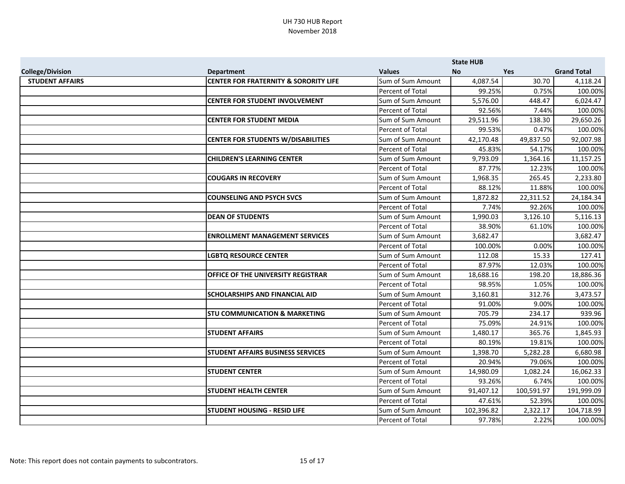|                         |                                                  |                   | <b>State HUB</b> |            |                    |
|-------------------------|--------------------------------------------------|-------------------|------------------|------------|--------------------|
| <b>College/Division</b> | <b>Department</b>                                | <b>Values</b>     | <b>No</b>        | <b>Yes</b> | <b>Grand Total</b> |
| <b>STUDENT AFFAIRS</b>  | <b>CENTER FOR FRATERNITY &amp; SORORITY LIFE</b> | Sum of Sum Amount | 4,087.54         | 30.70      | 4,118.24           |
|                         |                                                  | Percent of Total  | 99.25%           | 0.75%      | 100.00%            |
|                         | <b>CENTER FOR STUDENT INVOLVEMENT</b>            | Sum of Sum Amount | 5,576.00         | 448.47     | 6,024.47           |
|                         |                                                  | Percent of Total  | 92.56%           | 7.44%      | 100.00%            |
|                         | <b>CENTER FOR STUDENT MEDIA</b>                  | Sum of Sum Amount | 29,511.96        | 138.30     | 29,650.26          |
|                         |                                                  | Percent of Total  | 99.53%           | 0.47%      | 100.00%            |
|                         | <b>CENTER FOR STUDENTS W/DISABILITIES</b>        | Sum of Sum Amount | 42,170.48        | 49,837.50  | 92,007.98          |
|                         |                                                  | Percent of Total  | 45.83%           | 54.17%     | 100.00%            |
|                         | <b>CHILDREN'S LEARNING CENTER</b>                | Sum of Sum Amount | 9,793.09         | 1,364.16   | 11,157.25          |
|                         |                                                  | Percent of Total  | 87.77%           | 12.23%     | 100.00%            |
|                         | <b>COUGARS IN RECOVERY</b>                       | Sum of Sum Amount | 1,968.35         | 265.45     | 2,233.80           |
|                         |                                                  | Percent of Total  | 88.12%           | 11.88%     | 100.00%            |
|                         | <b>COUNSELING AND PSYCH SVCS</b>                 | Sum of Sum Amount | 1,872.82         | 22,311.52  | 24,184.34          |
|                         |                                                  | Percent of Total  | 7.74%            | 92.26%     | 100.00%            |
|                         | <b>DEAN OF STUDENTS</b>                          | Sum of Sum Amount | 1,990.03         | 3,126.10   | 5,116.13           |
|                         |                                                  | Percent of Total  | 38.90%           | 61.10%     | 100.00%            |
|                         | <b>ENROLLMENT MANAGEMENT SERVICES</b>            | Sum of Sum Amount | 3,682.47         |            | 3,682.47           |
|                         |                                                  | Percent of Total  | 100.00%          | 0.00%      | 100.00%            |
|                         | <b>LGBTQ RESOURCE CENTER</b>                     | Sum of Sum Amount | 112.08           | 15.33      | 127.41             |
|                         |                                                  | Percent of Total  | 87.97%           | 12.03%     | 100.00%            |
|                         | OFFICE OF THE UNIVERSITY REGISTRAR               | Sum of Sum Amount | 18,688.16        | 198.20     | 18,886.36          |
|                         |                                                  | Percent of Total  | 98.95%           | 1.05%      | 100.00%            |
|                         | <b>SCHOLARSHIPS AND FINANCIAL AID</b>            | Sum of Sum Amount | 3,160.81         | 312.76     | 3,473.57           |
|                         |                                                  | Percent of Total  | 91.00%           | 9.00%      | 100.00%            |
|                         | <b>STU COMMUNICATION &amp; MARKETING</b>         | Sum of Sum Amount | 705.79           | 234.17     | 939.96             |
|                         |                                                  | Percent of Total  | 75.09%           | 24.91%     | 100.00%            |
|                         | <b>STUDENT AFFAIRS</b>                           | Sum of Sum Amount | 1,480.17         | 365.76     | 1,845.93           |
|                         |                                                  | Percent of Total  | 80.19%           | 19.81%     | 100.00%            |
|                         | <b>STUDENT AFFAIRS BUSINESS SERVICES</b>         | Sum of Sum Amount | 1,398.70         | 5,282.28   | 6,680.98           |
|                         |                                                  | Percent of Total  | 20.94%           | 79.06%     | 100.00%            |
|                         | <b>STUDENT CENTER</b>                            | Sum of Sum Amount | 14,980.09        | 1,082.24   | 16,062.33          |
|                         |                                                  | Percent of Total  | 93.26%           | 6.74%      | 100.00%            |
|                         | <b>STUDENT HEALTH CENTER</b>                     | Sum of Sum Amount | 91,407.12        | 100,591.97 | 191,999.09         |
|                         |                                                  | Percent of Total  | 47.61%           | 52.39%     | 100.00%            |
|                         | <b>STUDENT HOUSING - RESID LIFE</b>              | Sum of Sum Amount | 102,396.82       | 2,322.17   | 104,718.99         |
|                         |                                                  | Percent of Total  | 97.78%           | 2.22%      | 100.00%            |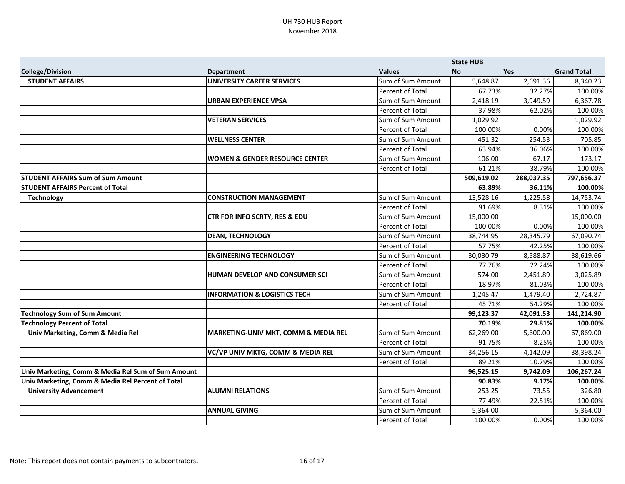|                                                    |                                           |                         | <b>State HUB</b> |            |                    |
|----------------------------------------------------|-------------------------------------------|-------------------------|------------------|------------|--------------------|
| <b>College/Division</b>                            | <b>Department</b>                         | <b>Values</b>           | <b>No</b>        | Yes        | <b>Grand Total</b> |
| <b>STUDENT AFFAIRS</b>                             | <b>UNIVERSITY CAREER SERVICES</b>         | Sum of Sum Amount       | 5,648.87         | 2,691.36   | 8,340.23           |
|                                                    |                                           | Percent of Total        | 67.73%           | 32.27%     | 100.00%            |
|                                                    | <b>URBAN EXPERIENCE VPSA</b>              | Sum of Sum Amount       | 2,418.19         | 3,949.59   | 6,367.78           |
|                                                    |                                           | Percent of Total        | 37.98%           | 62.02%     | 100.00%            |
|                                                    | <b>VETERAN SERVICES</b>                   | Sum of Sum Amount       | 1,029.92         |            | 1,029.92           |
|                                                    |                                           | Percent of Total        | 100.00%          | 0.00%      | 100.00%            |
|                                                    | <b>WELLNESS CENTER</b>                    | Sum of Sum Amount       | 451.32           | 254.53     | 705.85             |
|                                                    |                                           | Percent of Total        | 63.94%           | 36.06%     | 100.00%            |
|                                                    | <b>WOMEN &amp; GENDER RESOURCE CENTER</b> | Sum of Sum Amount       | 106.00           | 67.17      | 173.17             |
|                                                    |                                           | Percent of Total        | 61.21%           | 38.79%     | 100.00%            |
| <b>STUDENT AFFAIRS Sum of Sum Amount</b>           |                                           |                         | 509,619.02       | 288,037.35 | 797,656.37         |
| <b>STUDENT AFFAIRS Percent of Total</b>            |                                           |                         | 63.89%           | 36.11%     | 100.00%            |
| <b>Technology</b>                                  | <b>CONSTRUCTION MANAGEMENT</b>            | Sum of Sum Amount       | 13,528.16        | 1,225.58   | 14,753.74          |
|                                                    |                                           | Percent of Total        | 91.69%           | 8.31%      | 100.00%            |
|                                                    | <b>CTR FOR INFO SCRTY, RES &amp; EDU</b>  | Sum of Sum Amount       | 15,000.00        |            | 15,000.00          |
|                                                    |                                           | Percent of Total        | 100.00%          | 0.00%      | 100.00%            |
|                                                    | <b>DEAN, TECHNOLOGY</b>                   | Sum of Sum Amount       | 38,744.95        | 28,345.79  | 67,090.74          |
|                                                    |                                           | Percent of Total        | 57.75%           | 42.25%     | 100.00%            |
|                                                    | <b>ENGINEERING TECHNOLOGY</b>             | Sum of Sum Amount       | 30,030.79        | 8,588.87   | 38,619.66          |
|                                                    |                                           | Percent of Total        | 77.76%           | 22.24%     | 100.00%            |
|                                                    | HUMAN DEVELOP AND CONSUMER SCI            | Sum of Sum Amount       | 574.00           | 2,451.89   | 3,025.89           |
|                                                    |                                           | Percent of Total        | 18.97%           | 81.03%     | 100.00%            |
|                                                    | <b>INFORMATION &amp; LOGISTICS TECH</b>   | Sum of Sum Amount       | 1,245.47         | 1,479.40   | 2,724.87           |
|                                                    |                                           | Percent of Total        | 45.71%           | 54.29%     | 100.00%            |
| Technology Sum of Sum Amount                       |                                           |                         | 99,123.37        | 42,091.53  | 141,214.90         |
| <b>Technology Percent of Total</b>                 |                                           |                         | 70.19%           | 29.81%     | 100.00%            |
| Univ Marketing, Comm & Media Rel                   | MARKETING-UNIV MKT, COMM & MEDIA REL      | Sum of Sum Amount       | 62,269.00        | 5,600.00   | 67,869.00          |
|                                                    |                                           | <b>Percent of Total</b> | 91.75%           | 8.25%      | 100.00%            |
|                                                    | VC/VP UNIV MKTG, COMM & MEDIA REL         | Sum of Sum Amount       | 34,256.15        | 4,142.09   | 38,398.24          |
|                                                    |                                           | Percent of Total        | 89.21%           | 10.79%     | 100.00%            |
| Univ Marketing, Comm & Media Rel Sum of Sum Amount |                                           |                         | 96,525.15        | 9,742.09   | 106,267.24         |
| Univ Marketing, Comm & Media Rel Percent of Total  |                                           |                         | 90.83%           | 9.17%      | 100.00%            |
| <b>University Advancement</b>                      | <b>ALUMNI RELATIONS</b>                   | Sum of Sum Amount       | 253.25           | 73.55      | 326.80             |
|                                                    |                                           | Percent of Total        | 77.49%           | 22.51%     | 100.00%            |
|                                                    | <b>ANNUAL GIVING</b>                      | Sum of Sum Amount       | 5,364.00         |            | 5,364.00           |
|                                                    |                                           | Percent of Total        | 100.00%          | 0.00%      | 100.00%            |